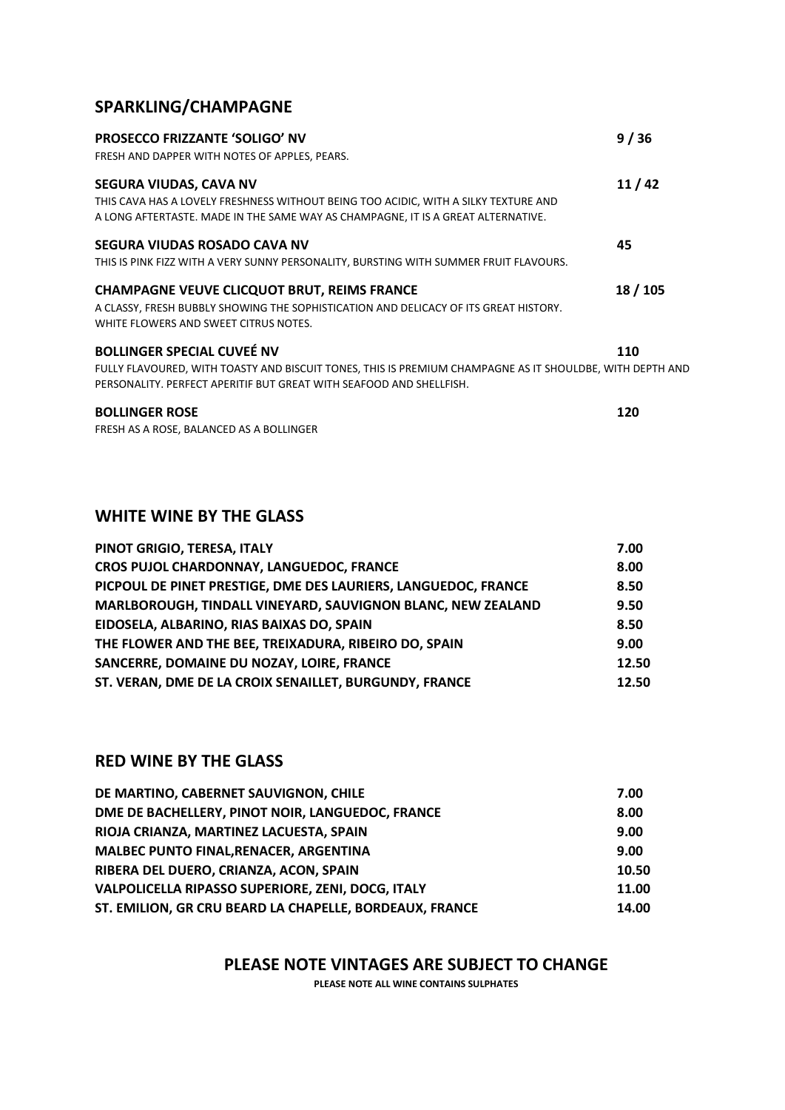# **SPARKLING/CHAMPAGNE**

| <b>PROSECCO FRIZZANTE 'SOLIGO' NV</b><br>FRESH AND DAPPER WITH NOTES OF APPLES, PEARS.                                                                                                            | 9/36     |
|---------------------------------------------------------------------------------------------------------------------------------------------------------------------------------------------------|----------|
| SEGURA VIUDAS, CAVA NV<br>THIS CAVA HAS A LOVELY FRESHNESS WITHOUT BEING TOO ACIDIC, WITH A SILKY TEXTURE AND<br>A LONG AFTERTASTE. MADE IN THE SAME WAY AS CHAMPAGNE, IT IS A GREAT ALTERNATIVE. | 11/42    |
| SEGURA VIUDAS ROSADO CAVA NV                                                                                                                                                                      | 45       |
| THIS IS PINK FIZZ WITH A VERY SUNNY PERSONALITY, BURSTING WITH SUMMER FRUIT FLAVOURS.                                                                                                             |          |
| <b>CHAMPAGNE VEUVE CLICQUOT BRUT, REIMS FRANCE</b><br>A CLASSY, FRESH BUBBLY SHOWING THE SOPHISTICATION AND DELICACY OF ITS GREAT HISTORY.<br>WHITE FLOWERS AND SWEET CITRUS NOTES.               | 18 / 105 |
| <b>BOLLINGER SPECIAL CUVEÉ NV</b>                                                                                                                                                                 | 110      |
| FULLY FLAVOURED, WITH TOASTY AND BISCUIT TONES, THIS IS PREMIUM CHAMPAGNE AS IT SHOULDBE, WITH DEPTH AND<br>PERSONALITY. PERFECT APERITIF BUT GREAT WITH SEAFOOD AND SHELLFISH.                   |          |
| <b>BOLLINGER ROSE</b>                                                                                                                                                                             | 120      |
| FRESH AS A ROSE, BALANCED AS A BOLLINGER                                                                                                                                                          |          |

#### **WHITE WINE BY THE GLASS**

| PINOT GRIGIO, TERESA, ITALY                                    | 7.00  |
|----------------------------------------------------------------|-------|
| CROS PUJOL CHARDONNAY, LANGUEDOC, FRANCE                       | 8.00  |
| PICPOUL DE PINET PRESTIGE, DME DES LAURIERS, LANGUEDOC, FRANCE | 8.50  |
| MARLBOROUGH, TINDALL VINEYARD, SAUVIGNON BLANC, NEW ZEALAND    | 9.50  |
| EIDOSELA, ALBARINO, RIAS BAIXAS DO, SPAIN                      | 8.50  |
| THE FLOWER AND THE BEE, TREIXADURA, RIBEIRO DO, SPAIN          | 9.00  |
| SANCERRE, DOMAINE DU NOZAY, LOIRE, FRANCE                      | 12.50 |
| ST. VERAN, DME DE LA CROIX SENAILLET, BURGUNDY, FRANCE         | 12.50 |

## **RED WINE BY THE GLASS**

| DE MARTINO, CABERNET SAUVIGNON, CHILE                   | 7.00  |
|---------------------------------------------------------|-------|
| DME DE BACHELLERY, PINOT NOIR, LANGUEDOC, FRANCE        | 8.00  |
| RIOJA CRIANZA, MARTINEZ LACUESTA, SPAIN                 | 9.00  |
| MALBEC PUNTO FINAL, RENACER, ARGENTINA                  | 9.00  |
| RIBERA DEL DUERO, CRIANZA, ACON, SPAIN                  | 10.50 |
| VALPOLICELLA RIPASSO SUPERIORE, ZENI, DOCG, ITALY       | 11.00 |
| ST. EMILION, GR CRU BEARD LA CHAPELLE, BORDEAUX, FRANCE | 14.00 |

#### **PLEASE NOTE VINTAGES ARE SUBJECT TO CHANGE**

**PLEASE NOTE ALL WINE CONTAINS SULPHATES**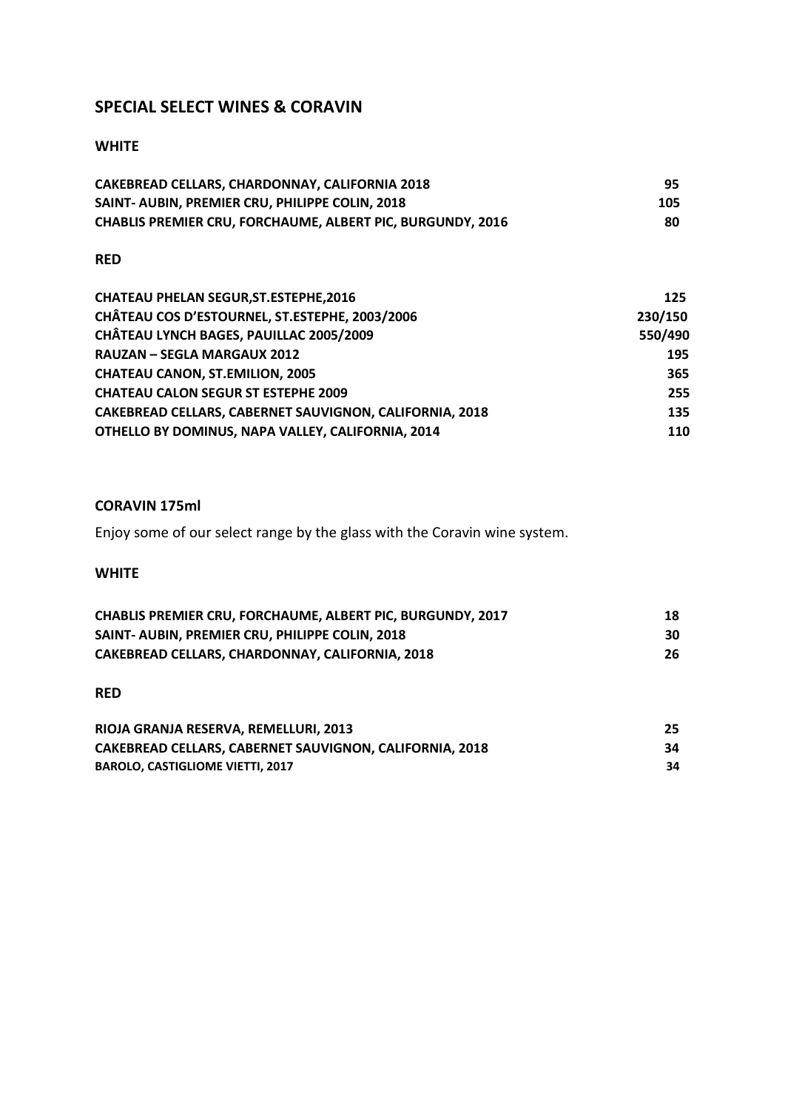### **SPECIAL SELECT WINES & CORAVIN**

#### **WHITE**

| CAKEBREAD CELLARS, CHARDONNAY, CALIFORNIA 2018                    | 95. |
|-------------------------------------------------------------------|-----|
| SAINT- AUBIN, PREMIER CRU, PHILIPPE COLIN, 2018                   | 105 |
| <b>CHABLIS PREMIER CRU, FORCHAUME, ALBERT PIC, BURGUNDY, 2016</b> | 80  |

#### **RED**

| <b>CHATEAU PHELAN SEGUR, ST. ESTEPHE, 2016</b>          | 125     |
|---------------------------------------------------------|---------|
| CHÂTEAU COS D'ESTOURNEL, ST.ESTEPHE, 2003/2006          | 230/150 |
| CHÂTEAU LYNCH BAGES, PAUILLAC 2005/2009                 | 550/490 |
| <b>RAUZAN - SEGLA MARGAUX 2012</b>                      | 195     |
| <b>CHATEAU CANON, ST.EMILION, 2005</b>                  | 365     |
| <b>CHATEAU CALON SEGUR ST ESTEPHE 2009</b>              | 255     |
| CAKEBREAD CELLARS, CABERNET SAUVIGNON, CALIFORNIA, 2018 | 135     |
| OTHELLO BY DOMINUS, NAPA VALLEY, CALIFORNIA, 2014       | 110     |

#### **CORAVIN 175ml**

Enjoy some of our select range by the glass with the Coravin wine system.

#### **WHITE**

| <b>CHABLIS PREMIER CRU, FORCHAUME, ALBERT PIC, BURGUNDY, 2017</b> | 18 |
|-------------------------------------------------------------------|----|
| SAINT- AUBIN. PREMIER CRU. PHILIPPE COLIN. 2018                   | 30 |
| CAKEBREAD CELLARS. CHARDONNAY. CALIFORNIA. 2018                   | 26 |

#### **RED**

| RIOJA GRANJA RESERVA. REMELLURI. 2013                   |    |
|---------------------------------------------------------|----|
| CAKEBREAD CELLARS. CABERNET SAUVIGNON. CALIFORNIA. 2018 | 34 |
| <b>BAROLO, CASTIGLIOME VIETTI, 2017</b>                 | 34 |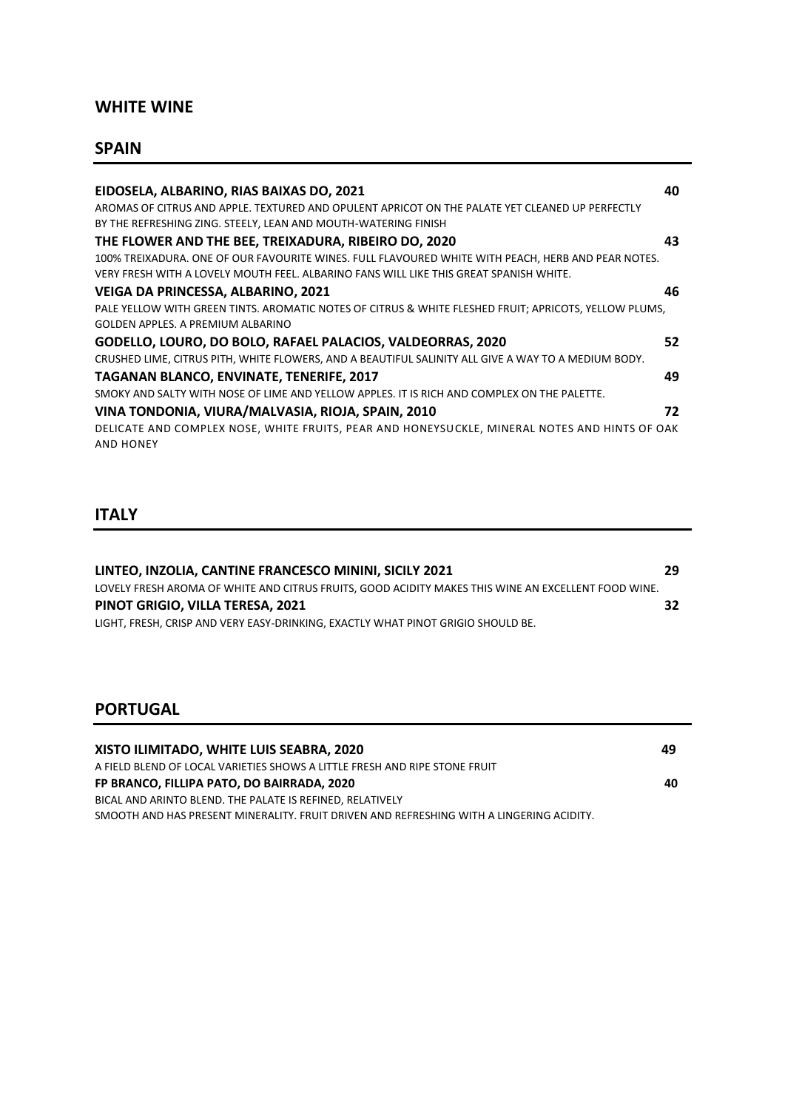#### **WHITE WINE**

### **SPAIN**

| EIDOSELA, ALBARINO, RIAS BAIXAS DO, 2021<br>AROMAS OF CITRUS AND APPLE. TEXTURED AND OPULENT APRICOT ON THE PALATE YET CLEANED UP PERFECTLY | 40 |
|---------------------------------------------------------------------------------------------------------------------------------------------|----|
| BY THE REFRESHING ZING. STEELY, LEAN AND MOUTH-WATERING FINISH                                                                              |    |
| THE FLOWER AND THE BEE, TREIXADURA, RIBEIRO DO, 2020                                                                                        | 43 |
| 100% TREIXADURA. ONE OF OUR FAVOURITE WINES. FULL FLAVOURED WHITE WITH PEACH, HERB AND PEAR NOTES.                                          |    |
| VERY FRESH WITH A LOVELY MOUTH FEEL. ALBARINO FANS WILL LIKE THIS GREAT SPANISH WHITE.                                                      |    |
| <b>VEIGA DA PRINCESSA, ALBARINO, 2021</b>                                                                                                   | 46 |
| PALE YELLOW WITH GREEN TINTS. AROMATIC NOTES OF CITRUS & WHITE FLESHED FRUIT; APRICOTS, YELLOW PLUMS,                                       |    |
| GOLDEN APPLES. A PREMIUM ALBARINO                                                                                                           |    |
| GODELLO, LOURO, DO BOLO, RAFAEL PALACIOS, VALDEORRAS, 2020                                                                                  | 52 |
| CRUSHED LIME, CITRUS PITH, WHITE FLOWERS, AND A BEAUTIFUL SALINITY ALL GIVE A WAY TO A MEDIUM BODY.                                         |    |
| <b>TAGANAN BLANCO, ENVINATE, TENERIFE, 2017</b>                                                                                             | 49 |
| SMOKY AND SALTY WITH NOSE OF LIME AND YELLOW APPLES. IT IS RICH AND COMPLEX ON THE PALETTE.                                                 |    |
| VINA TONDONIA, VIURA/MALVASIA, RIOJA, SPAIN, 2010                                                                                           | 72 |
| DELICATE AND COMPLEX NOSE, WHITE FRUITS, PEAR AND HONEYSUCKLE, MINERAL NOTES AND HINTS OF OAK<br><b>AND HONEY</b>                           |    |
|                                                                                                                                             |    |

# **ITALY**

| LINTEO. INZOLIA. CANTINE FRANCESCO MININI. SICILY 2021                                              | 29 |
|-----------------------------------------------------------------------------------------------------|----|
| LOVELY FRESH AROMA OF WHITE AND CITRUS FRUITS, GOOD ACIDITY MAKES THIS WINE AN EXCELLENT FOOD WINE. |    |
| PINOT GRIGIO. VILLA TERESA. 2021                                                                    | 32 |
| LIGHT, FRESH, CRISP AND VERY EASY-DRINKING, EXACTLY WHAT PINOT GRIGIO SHOULD BE.                    |    |

### **PORTUGAL**

| XISTO ILIMITADO. WHITE LUIS SEABRA. 2020                                                 | 49 |
|------------------------------------------------------------------------------------------|----|
| A FIELD BLEND OF LOCAL VARIETIES SHOWS A LITTLE FRESH AND RIPE STONE FRUIT               |    |
| FP BRANCO. FILLIPA PATO. DO BAIRRADA. 2020                                               | 40 |
| BICAL AND ARINTO BLEND. THE PALATE IS REFINED. RELATIVELY                                |    |
| SMOOTH AND HAS PRESENT MINERALITY. FRUIT DRIVEN AND REFRESHING WITH A LINGERING ACIDITY. |    |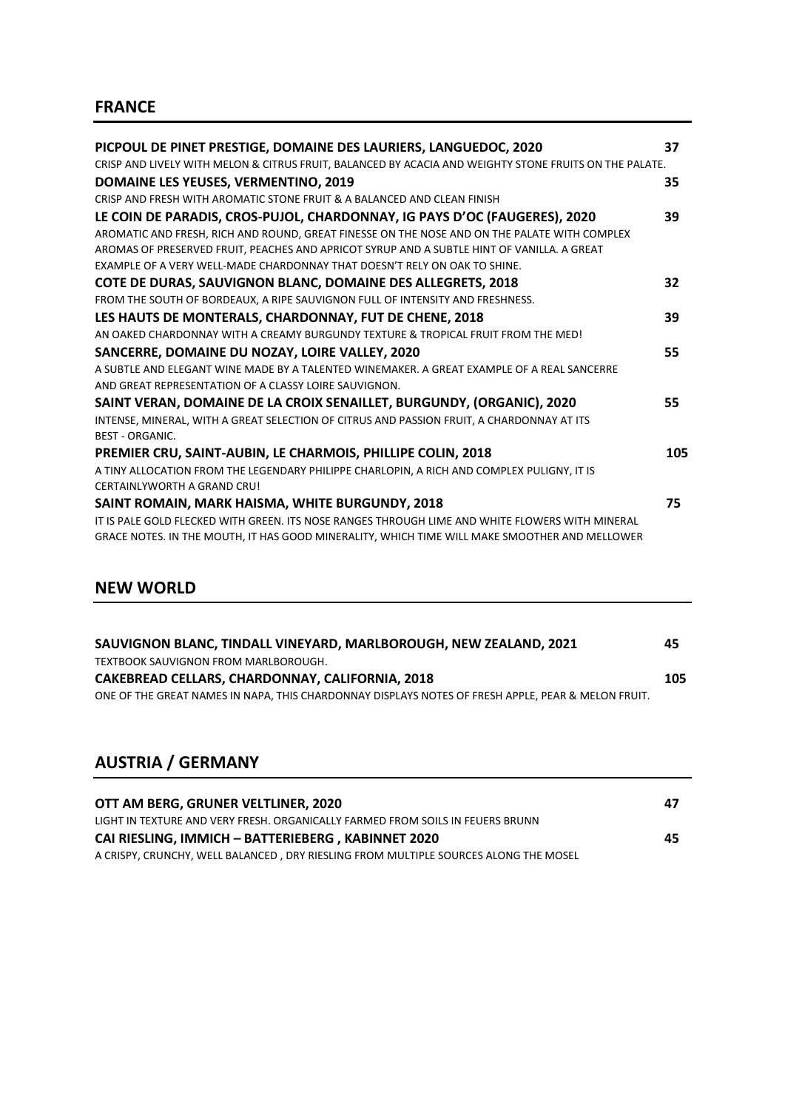| PICPOUL DE PINET PRESTIGE, DOMAINE DES LAURIERS, LANGUEDOC, 2020                                       | 37  |
|--------------------------------------------------------------------------------------------------------|-----|
| CRISP AND LIVELY WITH MELON & CITRUS FRUIT, BALANCED BY ACACIA AND WEIGHTY STONE FRUITS ON THE PALATE. |     |
| DOMAINE LES YEUSES, VERMENTINO, 2019                                                                   | 35  |
| CRISP AND FRESH WITH AROMATIC STONE FRUIT & A BALANCED AND CLEAN FINISH                                |     |
| LE COIN DE PARADIS, CROS-PUJOL, CHARDONNAY, IG PAYS D'OC (FAUGERES), 2020                              | 39  |
| AROMATIC AND FRESH, RICH AND ROUND, GREAT FINESSE ON THE NOSE AND ON THE PALATE WITH COMPLEX           |     |
| AROMAS OF PRESERVED FRUIT. PEACHES AND APRICOT SYRUP AND A SUBTLE HINT OF VANILLA. A GREAT             |     |
| EXAMPLE OF A VERY WELL-MADE CHARDONNAY THAT DOESN'T RELY ON OAK TO SHINE.                              |     |
| COTE DE DURAS, SAUVIGNON BLANC, DOMAINE DES ALLEGRETS, 2018                                            | 32  |
| FROM THE SOUTH OF BORDEAUX, A RIPE SAUVIGNON FULL OF INTENSITY AND FRESHNESS.                          |     |
| LES HAUTS DE MONTERALS, CHARDONNAY, FUT DE CHENE, 2018                                                 | 39  |
| AN OAKED CHARDONNAY WITH A CREAMY BURGUNDY TEXTURE & TROPICAL FRUIT FROM THE MED!                      |     |
| SANCERRE, DOMAINE DU NOZAY, LOIRE VALLEY, 2020                                                         | 55  |
| A SUBTI E AND FLEGANT WINE MADE BY A TALENTED WINEMAKER. A GREAT EXAMPLE OF A REAL SANCERRE            |     |
| AND GREAT REPRESENTATION OF A CLASSY LOIRE SAUVIGNON.                                                  |     |
| SAINT VERAN, DOMAINE DE LA CROIX SENAILLET, BURGUNDY, (ORGANIC), 2020                                  | 55  |
| INTENSE, MINERAL, WITH A GREAT SELECTION OF CITRUS AND PASSION FRUIT, A CHARDONNAY AT ITS              |     |
| <b>BEST - ORGANIC.</b>                                                                                 |     |
| PREMIER CRU, SAINT-AUBIN, LE CHARMOIS, PHILLIPE COLIN, 2018                                            | 105 |
| A TINY ALLOCATION FROM THE LEGENDARY PHILIPPE CHARLOPIN, A RICH AND COMPLEX PULIGNY, IT IS             |     |
| CERTAINLYWORTH A GRAND CRU!                                                                            |     |
| SAINT ROMAIN, MARK HAISMA, WHITE BURGUNDY, 2018                                                        | 75  |
| IT IS PALE GOLD FLECKED WITH GREEN. ITS NOSE RANGES THROUGH LIME AND WHITE FLOWERS WITH MINERAL        |     |
| GRACE NOTES. IN THE MOUTH, IT HAS GOOD MINERALITY, WHICH TIME WILL MAKE SMOOTHER AND MELLOWER          |     |

### **NEW WORLD**

| SAUVIGNON BLANC. TINDALL VINEYARD. MARLBOROUGH. NEW ZEALAND. 2021                                  | 45  |
|----------------------------------------------------------------------------------------------------|-----|
| TEXTBOOK SAUVIGNON FROM MARLBOROUGH.                                                               |     |
| CAKEBREAD CELLARS, CHARDONNAY, CALIFORNIA, 2018                                                    | 105 |
| ONE OF THE GREAT NAMES IN NAPA, THIS CHARDONNAY DISPLAYS NOTES OF FRESH APPLE, PEAR & MELON FRUIT. |     |

# **AUSTRIA / GERMANY**

| OTT AM BERG. GRUNER VELTLINER. 2020                                                  | 47 |
|--------------------------------------------------------------------------------------|----|
| LIGHT IN TEXTURE AND VERY FRESH. ORGANICALLY FARMED FROM SOILS IN FEUERS BRUNN       |    |
| CAI RIESLING. IMMICH – BATTERIEBERG . KABINNET 2020                                  | 45 |
| A CRISPY, CRUNCHY, WELL BALANCED, DRY RIESLING FROM MULTIPLE SOURCES ALONG THE MOSEL |    |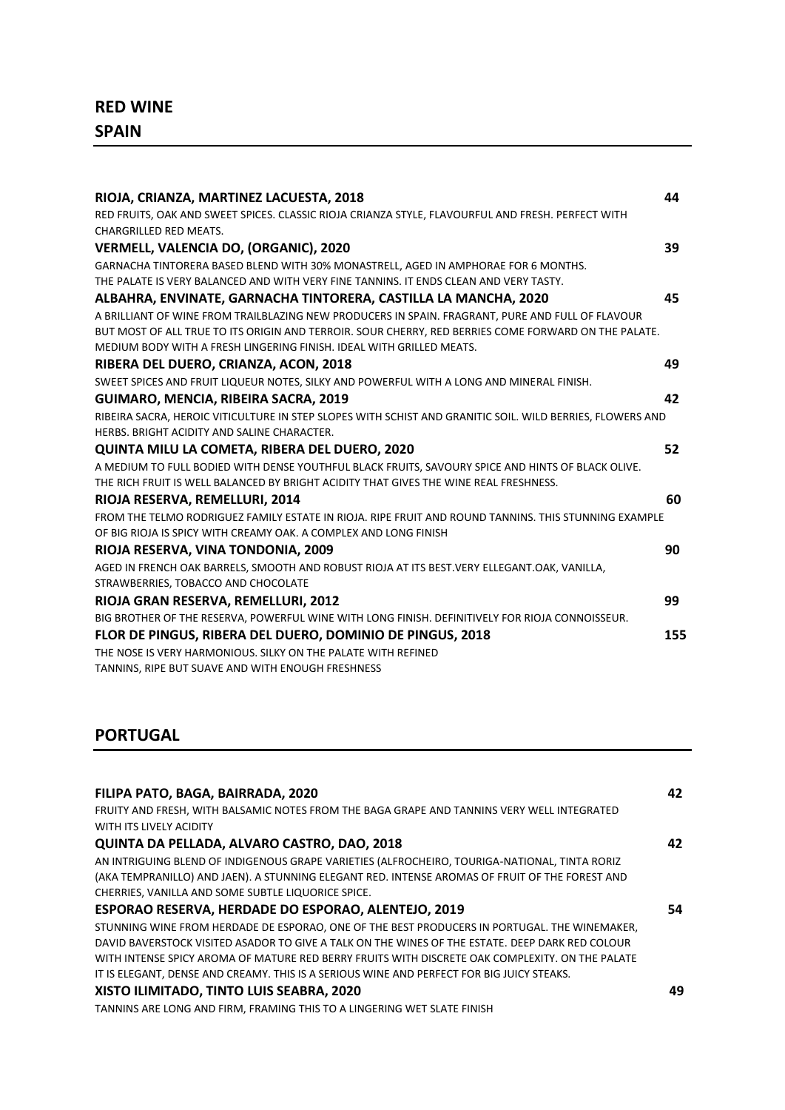| RIOJA, CRIANZA, MARTINEZ LACUESTA, 2018                                                                   | 44  |
|-----------------------------------------------------------------------------------------------------------|-----|
| RED FRUITS, OAK AND SWEET SPICES. CLASSIC RIOJA CRIANZA STYLE, FLAVOURFUL AND FRESH. PERFECT WITH         |     |
| <b>CHARGRILLED RED MEATS.</b>                                                                             |     |
| <b>VERMELL, VALENCIA DO, (ORGANIC), 2020</b>                                                              | 39  |
| GARNACHA TINTORERA BASED BLEND WITH 30% MONASTRELL. AGED IN AMPHORAE FOR 6 MONTHS.                        |     |
| THE PALATE IS VERY BALANCED AND WITH VERY FINE TANNINS. IT ENDS CLEAN AND VERY TASTY.                     |     |
| ALBAHRA, ENVINATE, GARNACHA TINTORERA, CASTILLA LA MANCHA, 2020                                           | 45  |
| A BRILLIANT OF WINE FROM TRAILBLAZING NEW PRODUCERS IN SPAIN. FRAGRANT, PURE AND FULL OF FLAVOUR          |     |
| BUT MOST OF ALL TRUE TO ITS ORIGIN AND TERROIR. SOUR CHERRY, RED BERRIES COME FORWARD ON THE PALATE.      |     |
| MEDIUM BODY WITH A FRESH LINGERING FINISH. IDEAL WITH GRILLED MEATS.                                      |     |
| RIBERA DEL DUERO, CRIANZA, ACON, 2018                                                                     | 49  |
| SWEET SPICES AND FRUIT LIQUEUR NOTES, SILKY AND POWERFUL WITH A LONG AND MINERAL FINISH.                  |     |
| GUIMARO, MENCIA, RIBEIRA SACRA, 2019                                                                      | 42  |
| RIBEIRA SACRA, HEROIC VITICULTURE IN STEP SLOPES WITH SCHIST AND GRANITIC SOIL. WILD BERRIES, FLOWERS AND |     |
| HERBS, BRIGHT ACIDITY AND SALINE CHARACTER.                                                               |     |
| QUINTA MILU LA COMETA, RIBERA DEL DUERO, 2020                                                             | 52  |
| A MEDIUM TO FULL BODIED WITH DENSE YOUTHFUL BLACK FRUITS, SAVOURY SPICE AND HINTS OF BLACK OLIVE.         |     |
| THE RICH FRUIT IS WELL BALANCED BY BRIGHT ACIDITY THAT GIVES THE WINE REAL FRESHNESS.                     |     |
| RIOJA RESERVA, REMELLURI, 2014                                                                            | 60  |
| FROM THE TELMO RODRIGUEZ FAMILY ESTATE IN RIOJA. RIPE FRUIT AND ROUND TANNINS. THIS STUNNING EXAMPLE      |     |
| OF BIG RIOJA IS SPICY WITH CREAMY OAK. A COMPLEX AND LONG FINISH                                          |     |
| RIOJA RESERVA, VINA TONDONIA, 2009                                                                        | 90  |
| AGED IN FRENCH OAK BARRELS, SMOOTH AND ROBUST RIOJA AT ITS BEST. VERY ELLEGANT. OAK, VANILLA,             |     |
| STRAWBERRIES, TOBACCO AND CHOCOLATE                                                                       |     |
| RIOJA GRAN RESERVA, REMELLURI, 2012                                                                       | 99  |
| BIG BROTHER OF THE RESERVA, POWERFUL WINE WITH LONG FINISH. DEFINITIVELY FOR RIOJA CONNOISSEUR.           |     |
| FLOR DE PINGUS, RIBERA DEL DUERO, DOMINIO DE PINGUS, 2018                                                 | 155 |
| THE NOSE IS VERY HARMONIOUS. SILKY ON THE PALATE WITH REFINED                                             |     |
| TANNINS, RIPE BUT SUAVE AND WITH ENOUGH FRESHNESS                                                         |     |

#### **PORTUGAL**

| FILIPA PATO, BAGA, BAIRRADA, 2020                                                               | 42 |
|-------------------------------------------------------------------------------------------------|----|
| FRUITY AND FRESH, WITH BALSAMIC NOTES FROM THE BAGA GRAPE AND TANNINS VERY WELL INTEGRATED      |    |
| WITH ITS LIVELY ACIDITY                                                                         |    |
| QUINTA DA PELLADA, ALVARO CASTRO, DAO, 2018                                                     | 42 |
| AN INTRIGUING BLEND OF INDIGENOUS GRAPE VARIETIES (ALFROCHEIRO, TOURIGA-NATIONAL, TINTA RORIZ   |    |
| (AKA TEMPRANILLO) AND JAEN). A STUNNING ELEGANT RED. INTENSE AROMAS OF FRUIT OF THE FOREST AND  |    |
| CHERRIES, VANILLA AND SOME SUBTLE LIQUORICE SPICE.                                              |    |
| ESPORAO RESERVA, HERDADE DO ESPORAO, ALENTEJO, 2019                                             | 54 |
| STUNNING WINE FROM HERDADE DE ESPORAO, ONE OF THE BEST PRODUCERS IN PORTUGAL. THE WINEMAKER,    |    |
| DAVID BAVERSTOCK VISITED ASADOR TO GIVE A TALK ON THE WINES OF THE ESTATE. DEEP DARK RED COLOUR |    |
| WITH INTENSE SPICY AROMA OF MATURE RED BERRY FRUITS WITH DISCRETE OAK COMPLEXITY. ON THE PALATE |    |
| IT IS ELEGANT, DENSE AND CREAMY. THIS IS A SERIOUS WINE AND PERFECT FOR BIG JUICY STEAKS.       |    |
| XISTO ILIMITADO, TINTO LUIS SEABRA, 2020                                                        | 49 |
|                                                                                                 |    |

TANNINS ARE LONG AND FIRM, FRAMING THIS TO A LINGERING WET SLATE FINISH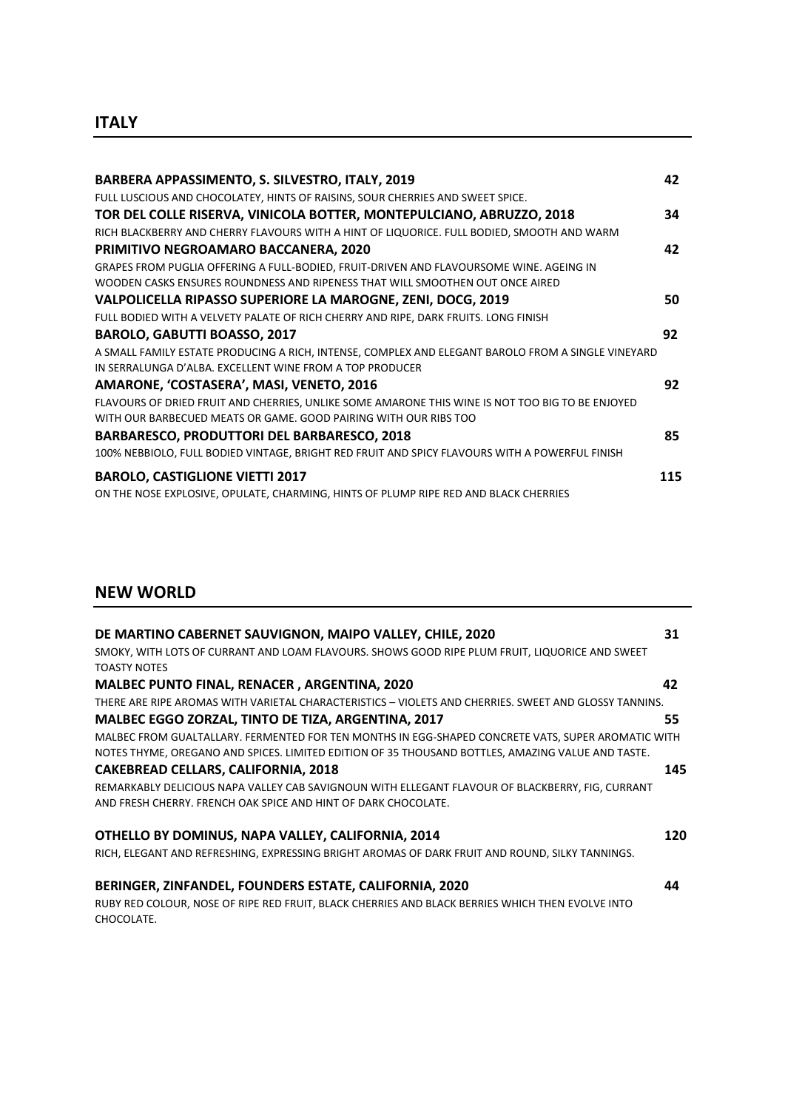| BARBERA APPASSIMENTO, S. SILVESTRO, ITALY, 2019                                                    | 42  |
|----------------------------------------------------------------------------------------------------|-----|
| FULL LUSCIOUS AND CHOCOLATEY, HINTS OF RAISINS, SOUR CHERRIES AND SWEET SPICE.                     |     |
| TOR DEL COLLE RISERVA, VINICOLA BOTTER, MONTEPULCIANO, ABRUZZO, 2018                               | 34  |
| RICH BLACKBERRY AND CHERRY FLAVOURS WITH A HINT OF LIQUORICE. FULL BODIED, SMOOTH AND WARM         |     |
| <b>PRIMITIVO NEGROAMARO BACCANERA, 2020</b>                                                        | 42  |
| GRAPES FROM PUGLIA OFFERING A FULL-BODIED, FRUIT-DRIVEN AND FLAVOURSOME WINE. AGEING IN            |     |
| WOODEN CASKS ENSURES ROUNDNESS AND RIPENESS THAT WILL SMOOTHEN OUT ONCE AIRED                      |     |
| VALPOLICELLA RIPASSO SUPERIORE LA MAROGNE, ZENI, DOCG, 2019                                        | 50  |
| FULL BODIED WITH A VELVETY PALATE OF RICH CHERRY AND RIPE, DARK FRUITS. LONG FINISH                |     |
| <b>BAROLO, GABUTTI BOASSO, 2017</b>                                                                | 92  |
| A SMALL FAMILY ESTATE PRODUCING A RICH, INTENSE, COMPLEX AND ELEGANT BAROLO FROM A SINGLE VINEYARD |     |
| IN SERRALUNGA D'ALBA. EXCELLENT WINE FROM A TOP PRODUCER                                           |     |
| AMARONE, 'COSTASERA', MASI, VENETO, 2016                                                           | 92  |
| FLAVOURS OF DRIED FRUIT AND CHERRIES, UNLIKE SOME AMARONE THIS WINE IS NOT TOO BIG TO BE ENJOYED   |     |
| WITH OUR BARBECUED MEATS OR GAME. GOOD PAIRING WITH OUR RIBS TOO                                   |     |
| <b>BARBARESCO, PRODUTTORI DEL BARBARESCO, 2018</b>                                                 | 85  |
| 100% NEBBIOLO, FULL BODIED VINTAGE, BRIGHT RED FRUIT AND SPICY FLAVOURS WITH A POWERFUL FINISH     |     |
| <b>BAROLO, CASTIGLIONE VIETTI 2017</b>                                                             | 115 |
| ON THE NOSE EXPLOSIVE, OPULATE, CHARMING, HINTS OF PLUMP RIPE RED AND BLACK CHERRIES               |     |

### **NEW WORLD**

| DE MARTINO CABERNET SAUVIGNON, MAIPO VALLEY, CHILE, 2020                                                       | 31  |
|----------------------------------------------------------------------------------------------------------------|-----|
| SMOKY, WITH LOTS OF CURRANT AND LOAM FLAVOURS. SHOWS GOOD RIPE PLUM FRUIT, LIQUORICE AND SWEET                 |     |
| <b>TOASTY NOTES</b>                                                                                            |     |
| <b>MALBEC PUNTO FINAL, RENACER, ARGENTINA, 2020</b>                                                            | 42  |
| THERE ARE RIPE AROMAS WITH VARIETAL CHARACTERISTICS - VIOLETS AND CHERRIES. SWEET AND GLOSSY TANNINS.          |     |
| <b>MALBEC EGGO ZORZAL, TINTO DE TIZA, ARGENTINA, 2017</b>                                                      | 55  |
| MALBEC FROM GUALTALLARY. FERMENTED FOR TEN MONTHS IN EGG-SHAPED CONCRETE VATS, SUPER AROMATIC WITH             |     |
| NOTES THYME, OREGANO AND SPICES. LIMITED EDITION OF 35 THOUSAND BOTTLES, AMAZING VALUE AND TASTE.              |     |
| <b>CAKEBREAD CELLARS, CALIFORNIA, 2018</b>                                                                     | 145 |
| REMARKABLY DELICIOUS NAPA VALLEY CAB SAVIGNOUN WITH ELLEGANT FLAVOUR OF BLACKBERRY, FIG, CURRANT               |     |
| AND FRESH CHERRY. FRENCH OAK SPICE AND HINT OF DARK CHOCOLATE.                                                 |     |
| OTHELLO BY DOMINUS, NAPA VALLEY, CALIFORNIA, 2014                                                              | 120 |
| RICH, ELEGANT AND REFRESHING, EXPRESSING BRIGHT AROMAS OF DARK FRUIT AND ROUND, SILKY TANNINGS.                |     |
| BERINGER, ZINFANDEL, FOUNDERS ESTATE, CALIFORNIA, 2020                                                         | 44  |
| RUBY RED COLOUR, NOSE OF RIPE RED FRUIT, BLACK CHERRIES AND BLACK BERRIES WHICH THEN EVOLVE INTO<br>CHOCOLATE. |     |
|                                                                                                                |     |